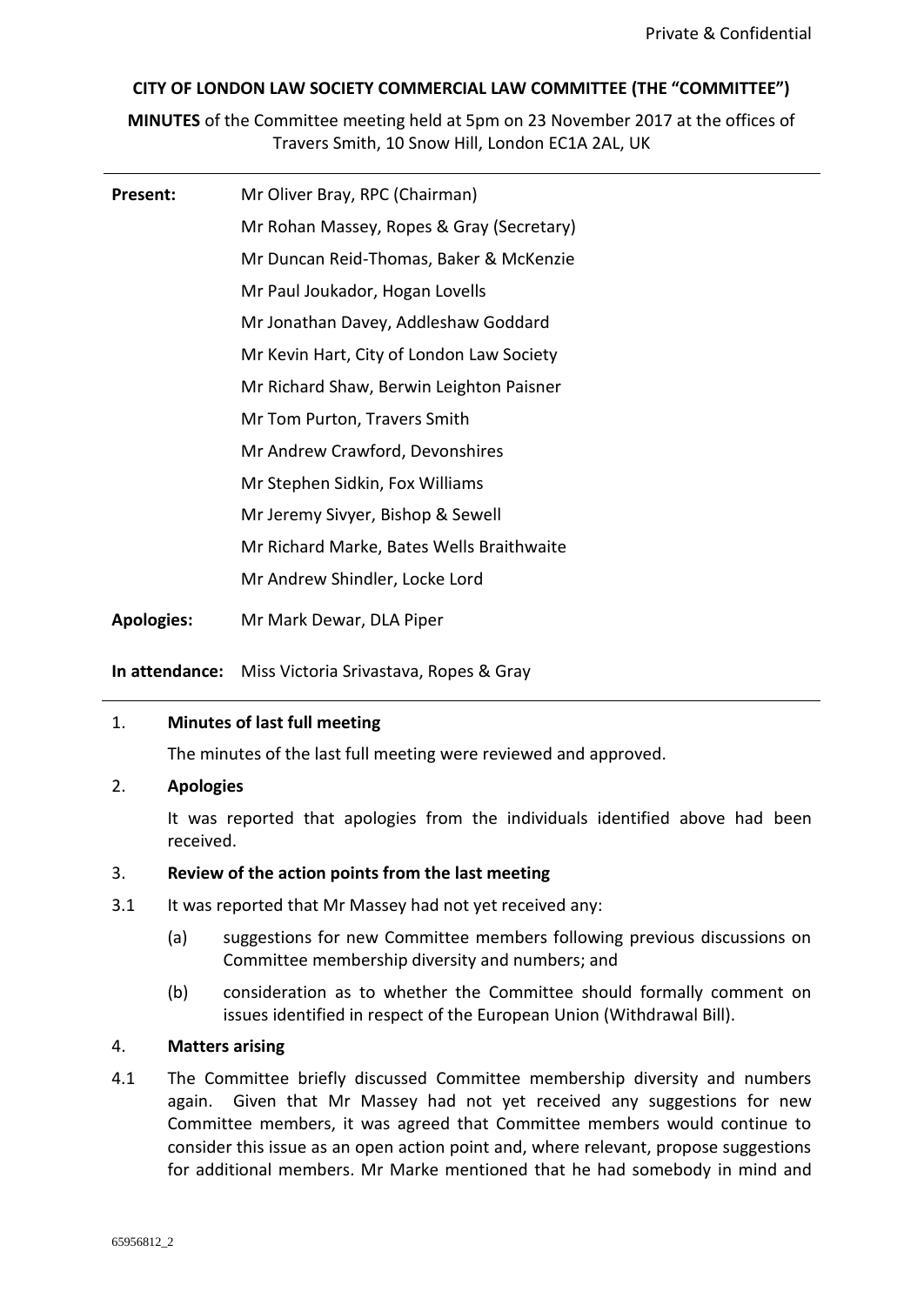## **CITY OF LONDON LAW SOCIETY COMMERCIAL LAW COMMITTEE (THE "COMMITTEE")**

**MINUTES** of the Committee meeting held at 5pm on 23 November 2017 at the offices of Travers Smith, 10 Snow Hill, London EC1A 2AL, UK

| Present:          | Mr Oliver Bray, RPC (Chairman)            |
|-------------------|-------------------------------------------|
|                   | Mr Rohan Massey, Ropes & Gray (Secretary) |
|                   | Mr Duncan Reid-Thomas, Baker & McKenzie   |
|                   | Mr Paul Joukador, Hogan Lovells           |
|                   | Mr Jonathan Davey, Addleshaw Goddard      |
|                   | Mr Kevin Hart, City of London Law Society |
|                   | Mr Richard Shaw, Berwin Leighton Paisner  |
|                   | Mr Tom Purton, Travers Smith              |
|                   | Mr Andrew Crawford, Devonshires           |
|                   | Mr Stephen Sidkin, Fox Williams           |
|                   | Mr Jeremy Sivyer, Bishop & Sewell         |
|                   | Mr Richard Marke, Bates Wells Braithwaite |
|                   | Mr Andrew Shindler, Locke Lord            |
| <b>Apologies:</b> | Mr Mark Dewar, DLA Piper                  |

**In attendance:** Miss Victoria Srivastava, Ropes & Gray

## 1. **Minutes of last full meeting**

The minutes of the last full meeting were reviewed and approved.

## 2. **Apologies**

It was reported that apologies from the individuals identified above had been received.

#### 3. **Review of the action points from the last meeting**

- 3.1 It was reported that Mr Massey had not yet received any:
	- (a) suggestions for new Committee members following previous discussions on Committee membership diversity and numbers; and
	- (b) consideration as to whether the Committee should formally comment on issues identified in respect of the European Union (Withdrawal Bill).

#### 4. **Matters arising**

4.1 The Committee briefly discussed Committee membership diversity and numbers again. Given that Mr Massey had not yet received any suggestions for new Committee members, it was agreed that Committee members would continue to consider this issue as an open action point and, where relevant, propose suggestions for additional members. Mr Marke mentioned that he had somebody in mind and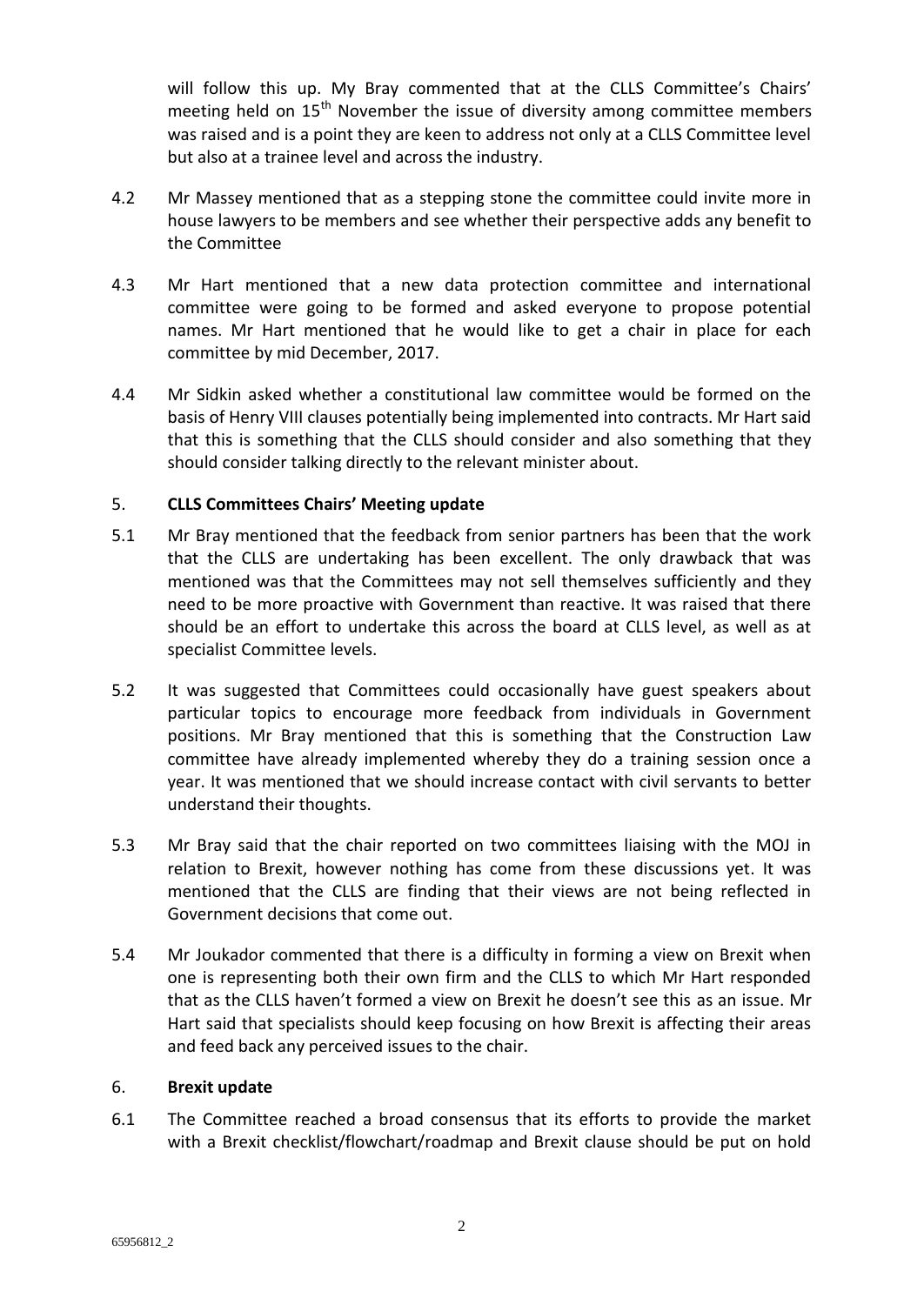will follow this up. My Bray commented that at the CLLS Committee's Chairs' meeting held on  $15<sup>th</sup>$  November the issue of diversity among committee members was raised and is a point they are keen to address not only at a CLLS Committee level but also at a trainee level and across the industry.

- 4.2 Mr Massey mentioned that as a stepping stone the committee could invite more in house lawyers to be members and see whether their perspective adds any benefit to the Committee
- 4.3 Mr Hart mentioned that a new data protection committee and international committee were going to be formed and asked everyone to propose potential names. Mr Hart mentioned that he would like to get a chair in place for each committee by mid December, 2017.
- 4.4 Mr Sidkin asked whether a constitutional law committee would be formed on the basis of Henry VIII clauses potentially being implemented into contracts. Mr Hart said that this is something that the CLLS should consider and also something that they should consider talking directly to the relevant minister about.

## 5. **CLLS Committees Chairs' Meeting update**

- 5.1 Mr Bray mentioned that the feedback from senior partners has been that the work that the CLLS are undertaking has been excellent. The only drawback that was mentioned was that the Committees may not sell themselves sufficiently and they need to be more proactive with Government than reactive. It was raised that there should be an effort to undertake this across the board at CLLS level, as well as at specialist Committee levels.
- 5.2 It was suggested that Committees could occasionally have guest speakers about particular topics to encourage more feedback from individuals in Government positions. Mr Bray mentioned that this is something that the Construction Law committee have already implemented whereby they do a training session once a year. It was mentioned that we should increase contact with civil servants to better understand their thoughts.
- 5.3 Mr Bray said that the chair reported on two committees liaising with the MOJ in relation to Brexit, however nothing has come from these discussions yet. It was mentioned that the CLLS are finding that their views are not being reflected in Government decisions that come out.
- 5.4 Mr Joukador commented that there is a difficulty in forming a view on Brexit when one is representing both their own firm and the CLLS to which Mr Hart responded that as the CLLS haven't formed a view on Brexit he doesn't see this as an issue. Mr Hart said that specialists should keep focusing on how Brexit is affecting their areas and feed back any perceived issues to the chair.

## 6. **Brexit update**

6.1 The Committee reached a broad consensus that its efforts to provide the market with a Brexit checklist/flowchart/roadmap and Brexit clause should be put on hold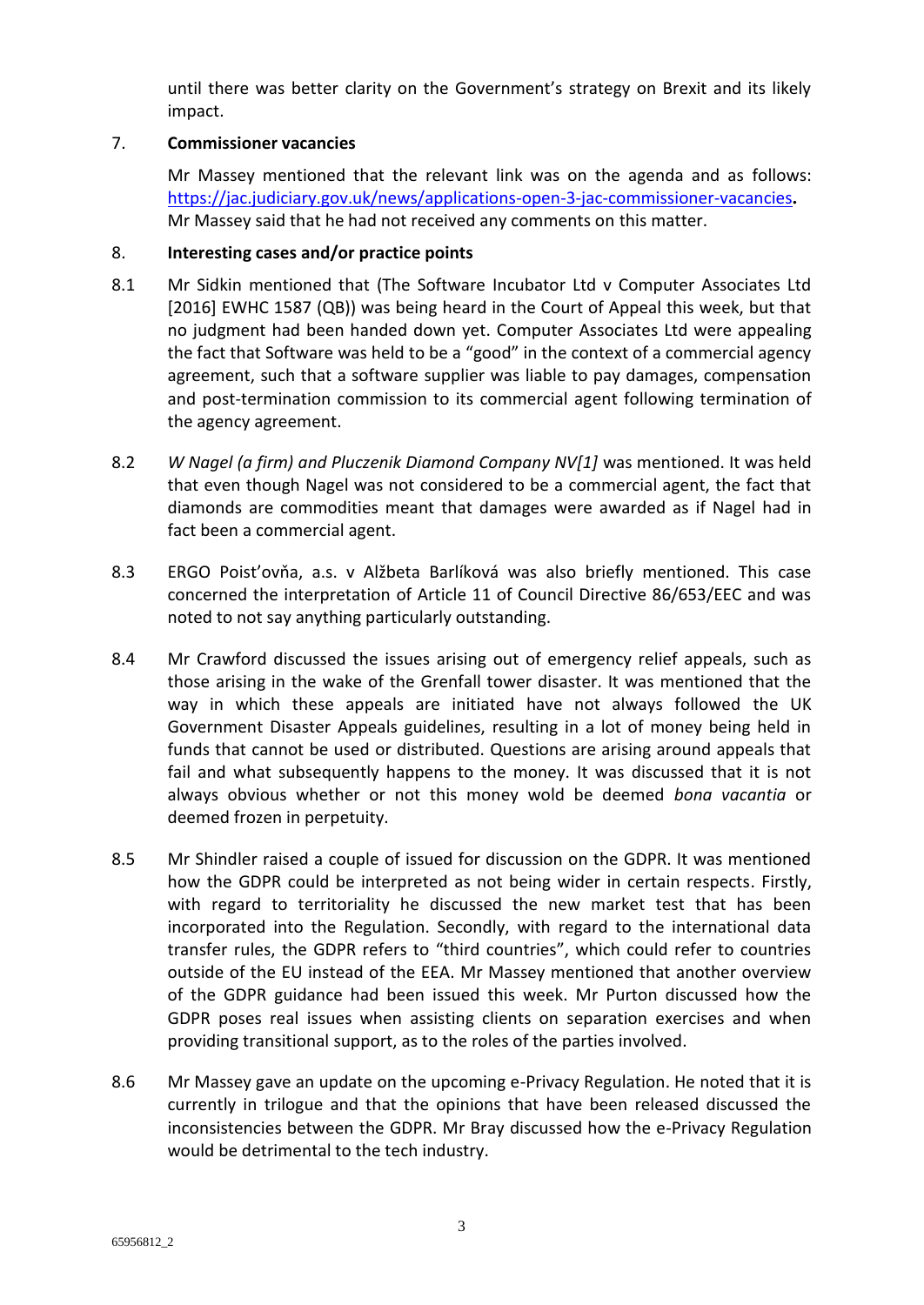until there was better clarity on the Government's strategy on Brexit and its likely impact.

## 7. **Commissioner vacancies**

Mr Massey mentioned that the relevant link was on the agenda and as follows: <https://jac.judiciary.gov.uk/news/applications-open-3-jac-commissioner-vacancies>**.**  Mr Massey said that he had not received any comments on this matter.

## 8. **Interesting cases and/or practice points**

- 8.1 Mr Sidkin mentioned that (The Software Incubator Ltd v Computer Associates Ltd [2016] EWHC 1587 (QB)) was being heard in the Court of Appeal this week, but that no judgment had been handed down yet. Computer Associates Ltd were appealing the fact that Software was held to be a "good" in the context of a commercial agency agreement, such that a software supplier was liable to pay damages, compensation and post-termination commission to its commercial agent following termination of the agency agreement.
- 8.2 *W Nagel (a firm) and Pluczenik Diamond Company NV[1]* was mentioned. It was held that even though Nagel was not considered to be a commercial agent, the fact that diamonds are commodities meant that damages were awarded as if Nagel had in fact been a commercial agent.
- 8.3 ERGO Poist'ovňa, a.s. v Alžbeta Barlíková was also briefly mentioned. This case concerned the interpretation of Article 11 of Council Directive 86/653/EEC and was noted to not say anything particularly outstanding.
- 8.4 Mr Crawford discussed the issues arising out of emergency relief appeals, such as those arising in the wake of the Grenfall tower disaster. It was mentioned that the way in which these appeals are initiated have not always followed the UK Government Disaster Appeals guidelines, resulting in a lot of money being held in funds that cannot be used or distributed. Questions are arising around appeals that fail and what subsequently happens to the money. It was discussed that it is not always obvious whether or not this money wold be deemed *bona vacantia* or deemed frozen in perpetuity.
- 8.5 Mr Shindler raised a couple of issued for discussion on the GDPR. It was mentioned how the GDPR could be interpreted as not being wider in certain respects. Firstly, with regard to territoriality he discussed the new market test that has been incorporated into the Regulation. Secondly, with regard to the international data transfer rules, the GDPR refers to "third countries", which could refer to countries outside of the EU instead of the EEA. Mr Massey mentioned that another overview of the GDPR guidance had been issued this week. Mr Purton discussed how the GDPR poses real issues when assisting clients on separation exercises and when providing transitional support, as to the roles of the parties involved.
- 8.6 Mr Massey gave an update on the upcoming e-Privacy Regulation. He noted that it is currently in trilogue and that the opinions that have been released discussed the inconsistencies between the GDPR. Mr Bray discussed how the e-Privacy Regulation would be detrimental to the tech industry.